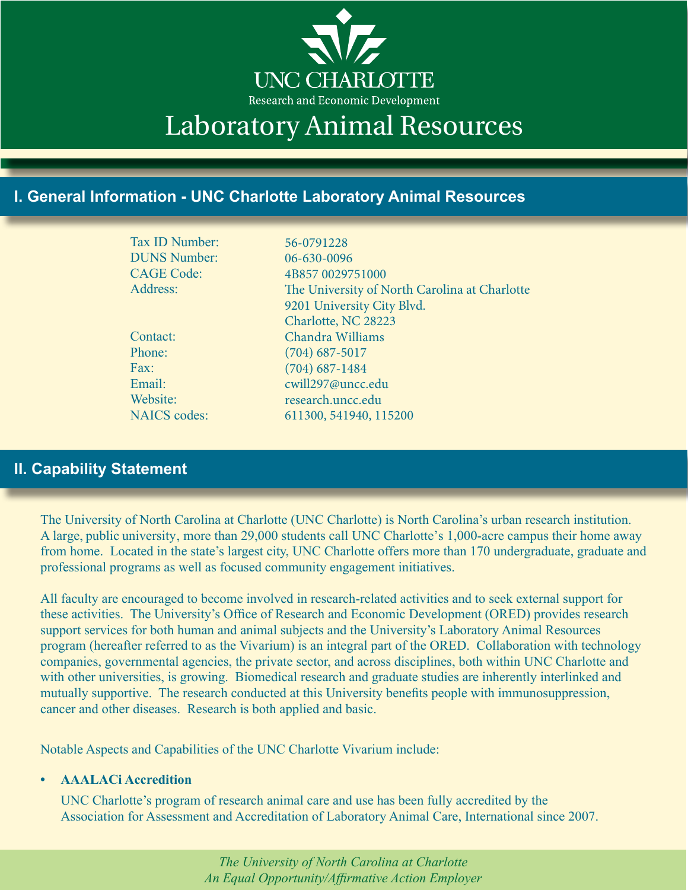

# Laboratory Animal Resources

# **I. General Information - UNC Charlotte Laboratory Animal Resources**

| Tax ID Number:      | 56-0791228                                    |
|---------------------|-----------------------------------------------|
| <b>DUNS Number:</b> | 06-630-0096                                   |
| <b>CAGE Code:</b>   | 4B857 0029751000                              |
| Address:            | The University of North Carolina at Charlotte |
|                     | 9201 University City Blvd.                    |
|                     | Charlotte, NC 28223                           |
| Contact:            | Chandra Williams                              |
| Phone:              | $(704)$ 687-5017                              |
| Fax:                | $(704)$ 687-1484                              |
| Email:              | cwill297@uncc.edu                             |
| Website:            | research.uncc.edu                             |
| <b>NAICS</b> codes: | 611300, 541940, 115200                        |
|                     |                                               |

# **II. Capability Statement**

The University of North Carolina at Charlotte (UNC Charlotte) is North Carolina's urban research institution. A large, public university, more than 29,000 students call UNC Charlotte's 1,000-acre campus their home away from home. Located in the state's largest city, UNC Charlotte offers more than 170 undergraduate, graduate and professional programs as well as focused community engagement initiatives.

All faculty are encouraged to become involved in research-related activities and to seek external support for these activities. The University's Office of Research and Economic Development (ORED) provides research support services for both human and animal subjects and the University's Laboratory Animal Resources program (hereafter referred to as the Vivarium) is an integral part of the ORED. Collaboration with technology companies, governmental agencies, the private sector, and across disciplines, both within UNC Charlotte and with other universities, is growing. Biomedical research and graduate studies are inherently interlinked and mutually supportive. The research conducted at this University benefits people with immunosuppression, cancer and other diseases. Research is both applied and basic.

Notable Aspects and Capabilities of the UNC Charlotte Vivarium include:

#### **• AAALACi Accredition**

UNC Charlotte's program of research animal care and use has been fully accredited by the Association for Assessment and Accreditation of Laboratory Animal Care, International since 2007.

> *The University of North Carolina at Charlotte An Equal Opportunity/Affirmative Action Employer*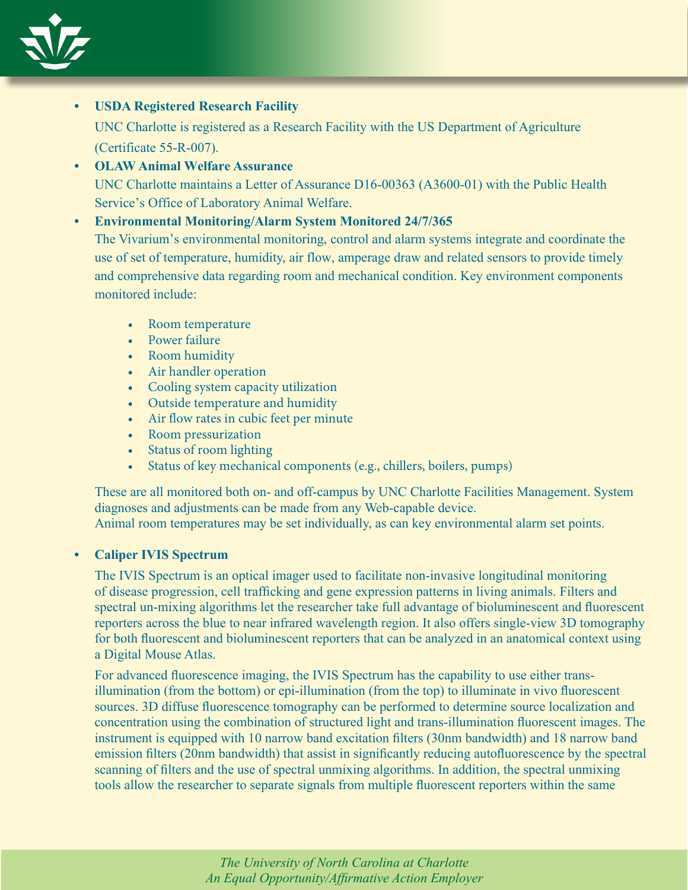

# **• USDA Registered Research Facility**

UNC Charlotte is registered as a Research Facility with the US Department of Agriculture (Certificate 55-R-007).

**• OLAW Animal Welfare Assurance** UNC Charlotte maintains a Letter of Assurance D16-00363 (A3600-01) with the Public Health Service's Office of Laboratory Animal Welfare.

## **• Environmental Monitoring/Alarm System Monitored 24/7/365**

The Vivarium's environmental monitoring, control and alarm systems integrate and coordinate the use of set of temperature, humidity, air flow, amperage draw and related sensors to provide timely and comprehensive data regarding room and mechanical condition. Key environment components monitored include:

- Room temperature
- Power failure
- Room humidity
- Air handler operation
- Cooling system capacity utilization
- Outside temperature and humidity
- Air flow rates in cubic feet per minute
- Room pressurization
- Status of room lighting
- Status of key mechanical components (e.g., chillers, boilers, pumps)

These are all monitored both on- and off-campus by UNC Charlotte Facilities Management. System diagnoses and adjustments can be made from any Web-capable device. Animal room temperatures may be set individually, as can key environmental alarm set points.

# **• Caliper IVIS Spectrum**

The IVIS Spectrum is an optical imager used to facilitate non-invasive longitudinal monitoring of disease progression, cell trafficking and gene expression patterns in living animals. Filters and spectral un-mixing algorithms let the researcher take full advantage of bioluminescent and fluorescent reporters across the blue to near infrared wavelength region. It also offers single-view 3D tomography for both fluorescent and bioluminescent reporters that can be analyzed in an anatomical context using a Digital Mouse Atlas.

For advanced fluorescence imaging, the IVIS Spectrum has the capability to use either transillumination (from the bottom) or epi-illumination (from the top) to illuminate in vivo fluorescent sources. 3D diffuse fluorescence tomography can be performed to determine source localization and concentration using the combination of structured light and trans-illumination fluorescent images. The instrument is equipped with 10 narrow band excitation filters (30nm bandwidth) and 18 narrow band emission filters (20nm bandwidth) that assist in significantly reducing autofluorescence by the spectral scanning of filters and the use of spectral unmixing algorithms. In addition, the spectral unmixing tools allow the researcher to separate signals from multiple fluorescent reporters within the same